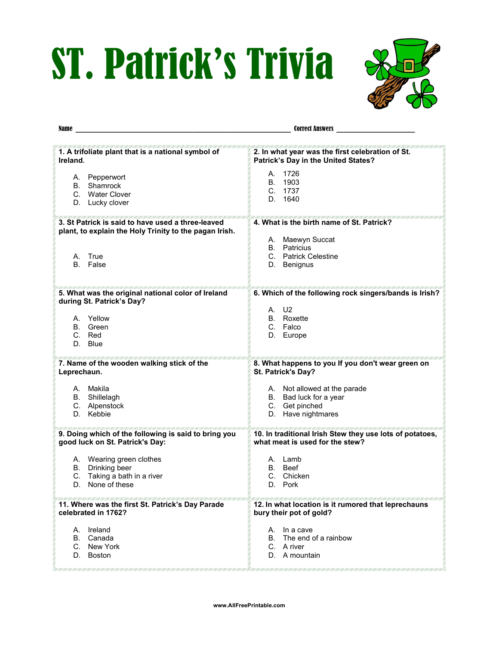## ST. Patrick's Trivia



| Name<br><u> 1989 - Johann Barbara, marka a shekara tsa 1989 - An tsa 1989 - An tsa 1989 - An tsa 1989 - An tsa 1989 - An</u> | <b>Correct Answers</b>                                     |
|------------------------------------------------------------------------------------------------------------------------------|------------------------------------------------------------|
| 1. A trifoliate plant that is a national symbol of                                                                           | 2. In what year was the first celebration of St.           |
| Ireland.                                                                                                                     | Patrick's Day in the United States?                        |
| A. Pepperwort<br>B. Shamrock<br>C. Water Clover<br>D. Lucky clover                                                           | A. 1726<br>B. 1903<br>C. 1737<br>1640<br>D.                |
| 3. St Patrick is said to have used a three-leaved                                                                            | 4. What is the birth name of St. Patrick?                  |
| plant, to explain the Holy Trinity to the pagan Irish.                                                                       | A. Maewyn Succat                                           |
| A. True<br>B. False                                                                                                          | <b>B.</b> Patricius<br>C. Patrick Celestine<br>D. Benignus |
| 5. What was the original national color of Ireland<br>during St. Patrick's Day?                                              | 6. Which of the following rock singers/bands is Irish?     |
| A. Yellow                                                                                                                    | A. U2                                                      |
| B. Green                                                                                                                     | B. Roxette                                                 |
| C. Red                                                                                                                       | C. Falco                                                   |
| D. Blue                                                                                                                      | D. Europe                                                  |
| 7. Name of the wooden walking stick of the                                                                                   | 8. What happens to you If you don't wear green on          |
| Leprechaun.                                                                                                                  | St. Patrick's Day?                                         |
| A. Makila                                                                                                                    | A. Not allowed at the parade                               |
| B. Shillelagh                                                                                                                | B. Bad luck for a year                                     |
| C. Alpenstock                                                                                                                | C. Get pinched                                             |
| D. Kebbie                                                                                                                    | D. Have nightmares                                         |
| 9. Doing which of the following is said to bring you                                                                         | 10. In traditional Irish Stew they use lots of potatoes,   |
| good luck on St. Patrick's Day:                                                                                              | what meat is used for the stew?                            |
| A. Wearing green clothes                                                                                                     | A. Lamb                                                    |
| B. Drinking beer                                                                                                             | B. Beef                                                    |
| C. Taking a bath in a river                                                                                                  | C. Chicken                                                 |
| None of these                                                                                                                | Pork                                                       |
| D.                                                                                                                           | D.                                                         |
| 11. Where was the first St. Patrick's Day Parade                                                                             | 12. In what location is it rumored that leprechauns        |
| celebrated in 1762?                                                                                                          | bury their pot of gold?                                    |
| A. Ireland                                                                                                                   | A. In a cave                                               |
| B. Canada                                                                                                                    | B. The end of a rainbow                                    |
| C. New York                                                                                                                  | C. A river                                                 |
| D. Boston                                                                                                                    | D. A mountain                                              |